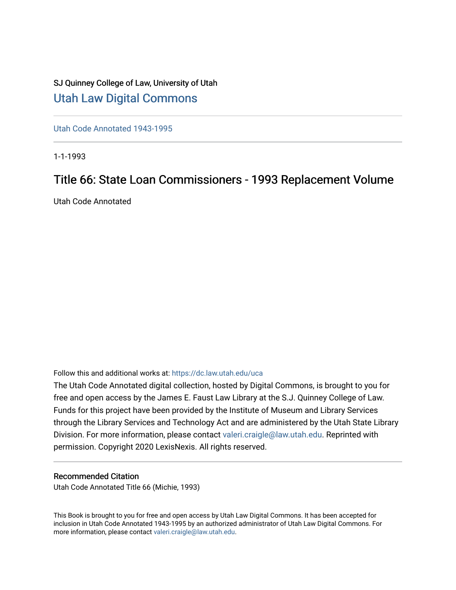## SJ Quinney College of Law, University of Utah [Utah Law Digital Commons](https://dc.law.utah.edu/)

[Utah Code Annotated 1943-1995](https://dc.law.utah.edu/uca) 

1-1-1993

## Title 66: State Loan Commissioners - 1993 Replacement Volume

Utah Code Annotated

Follow this and additional works at: [https://dc.law.utah.edu/uca](https://dc.law.utah.edu/uca?utm_source=dc.law.utah.edu%2Fuca%2F427&utm_medium=PDF&utm_campaign=PDFCoverPages)

The Utah Code Annotated digital collection, hosted by Digital Commons, is brought to you for free and open access by the James E. Faust Law Library at the S.J. Quinney College of Law. Funds for this project have been provided by the Institute of Museum and Library Services through the Library Services and Technology Act and are administered by the Utah State Library Division. For more information, please contact [valeri.craigle@law.utah.edu.](mailto:valeri.craigle@law.utah.edu) Reprinted with permission. Copyright 2020 LexisNexis. All rights reserved.

### Recommended Citation

Utah Code Annotated Title 66 (Michie, 1993)

This Book is brought to you for free and open access by Utah Law Digital Commons. It has been accepted for inclusion in Utah Code Annotated 1943-1995 by an authorized administrator of Utah Law Digital Commons. For more information, please contact [valeri.craigle@law.utah.edu.](mailto:valeri.craigle@law.utah.edu)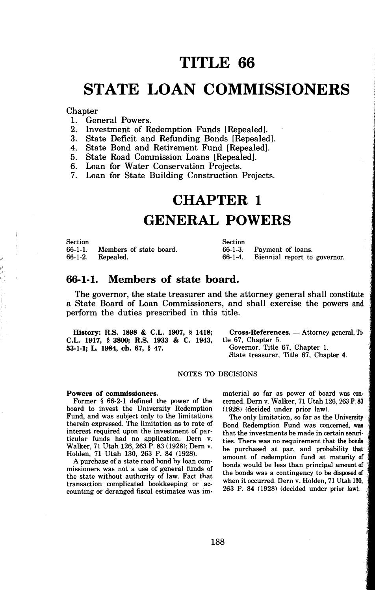## **TITLE 66**

## **STATE LOAN COMMISSIONERS**

# Chapter<br>1. Gen

I ·,

- 1. General Powers.<br>2. Investment of R
- 2. Investment of Redemption Funds [Repealed].<br>3. State Deficit and Refunding Bonds [Repealed].
- State Deficit and Refunding Bonds [Repealed].
- 4. State Bond and Retirement Fund [Repealed].
- 5. State Road Commission Loans [Repealed].
- 6. Loan for Water Conservation Projects.
- 7. Loan for State Building Construction Projects.

### **CHAPTER 1**

### **GENERAL POWERS**

Section 66-1-1. 66-1-2. Members of state board. Repealed. Section 66-1-3. 66-1-4. Payment of loans. Biennial report to governor.

#### **66-1-1. Members of state board.**

The governor, the state treasurer and the attorney general shall constitute a State Board of Loan Commissioners, and shall exercise the powers and perform the duties prescribed in this title.

| History: R.S. 1898 & C.L. 1907, § 1418:            | Cross-I |
|----------------------------------------------------|---------|
| C.L. 1917, § 3800; R.S. 1933 & C. 1943, tle 67, Cl |         |
| 53-1-1; L. 1984, ch. 67, § 47.                     | Govern  |

**References.** — Attorney general, Tihapter 5. or, Title 67, Chapter 1. State treasurer, Title 67, Chapter 4.

NOTES TO DECISIONS

#### **Powers of commissioners.**

Former § 66-2-1 defined the power of the board to invest the University Redemption Fund, and was subject only to the limitations therein expressed. The limitation as to rate of interest required upon the investment of particular funds had no application. Dem v. Walker, 71 Utah 126,263 P. 83 (1928); Dem v. Holden, 71 Utah 130, 263 P. 84 (1928).

A purchase of a state road bond by loan commissioners was not a use of general funds of the state without authority of law. Fact that transaction complicated bookkeeping or accounting or deranged fiscal estimates was immaterial so far as power of board was con• cerned. Dern v. Walker, 71 Utah 126,263 P. 83 (1928) (decided under prior law).

The only limitation, so far as the University Bond Redemption Fund was concerned, **was**  that the investments be made in certain securities. There was no requirement that the bonds be purchased at par, and probability that amount of redemption fund at maturity of bonds would be less than principal amount of the bonds was a contingency to be disposed of when it occurred. Dern v. Holden, 71 Utah 130, 263 P. 84 (1928) (decided under prior law).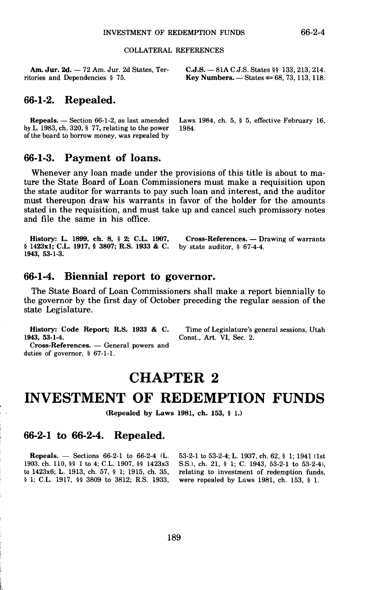#### COLLATERAL REFERENCES

Am. Jur. 2d. - 72 Am. Jur. 2d States, Territories and Dependencies § 75.

**C.J.S.** - 81A C.J.S. States§§ 133, 213, 214. **Key Numbers.**  $-$  States  $\approx 68, 73, 113, 118$ .

#### **66-1-2. Repealed.**

by L. 1983, ch. 320,  $\S$  77, relating to the power of the board to borrow money, was repealed by

**Repeals.**  $-$  Section 66-1-2, as last amended Laws 1984, ch. 5, § 5, effective February 16,  $\mu$  L 1983, ch. 320, § 77, relating to the power 1984.

#### **66-1-3. Payment of loans.**

Whenever any loan made under the provisions of this title is about to mature the State Board of Loan Commissioners must make a requisition upon the state auditor for warrants to pay such loan and interest, and the auditor must thereupon draw his warrants in favor of the holder for the amounts stated in the requisition, and must take up and cancel such promissory notes and file the same in his office.

**History: L.** 1899, **ch. 8,** § **2; C.L.** 1907, § 1423x1; C.L. 1917, § 3807; R.S. 1933 & C. 1943, 53-1-3. **Cross-References.** — Drawing of warrants by state auditor, § 67-4-4.

### **66-1-4. Biennial report to governor.**

The State Board of Loan Commissioners shall make a report biennially to the governor by the first day of October preceding the regular session of the state Legislature.

**History: Code Report; R.S. 1933** & **C. 1943, 53-1-4.** 

Cross-References. - General powers and duties of governor, § 67-1-1.

Time of Legislature's general sessions, Utah Const., Art. VI, Sec. 2.

### **CHAPTER 2**

## **INVESTMENT OF REDEMPTION FUNDS**

**(Repealed by Laws 1981, ch. 153,** § 1.)

#### **66-2-1 to 66-2-4. Repealed.**

**Repeals.** - Sections 66-2-1 to 66-2-4 (L. 1903, ch. 110, §§ 1 to 4; C.L. 1907, §§ 1423x3 to 1423x6; L. 1913, ch. 57, § l; 1915, ch. 35, § 1; C.L. 1917, §§ 3809 to 3812; R.S. 1933, 53-2-1 to 53-2-4; L. 1937, ch. 62, § 1; 1941 (1st S.S.l, ch. 21, § l; C. 1943, 53-2-1 to 53-2-4), relating to investment of redemption funds, were repealed by Laws 1981, ch. 153, § 1.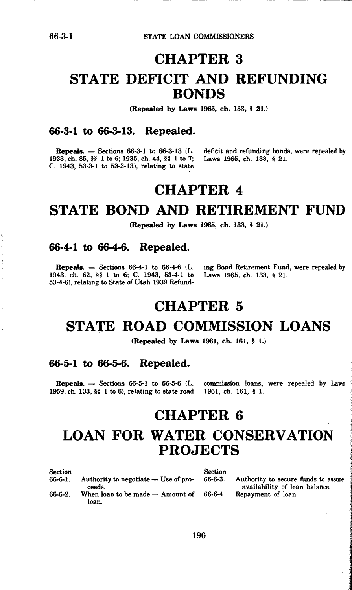# **CHAPTER 3 STATE DEFICIT AND REFUNDING BONDS**

**(Repealed by Laws 1965, ch.** 133, § **21.)** 

#### **66-3-1 to 66-3-13. Repealed.**

1933, ch. 85, §§ 1 to 6; 1935, ch. 44, §§ 1 to 7; Laws 1965, ch. 133, § 21. C. 1943, 53-3-1 to 53-3-13), relating to state

**Repeals.** — Sections 66-3-1 to 66-3-13 (L. deficit and refunding bonds, were repealed by

## **CHAPTER 4**

### **STATE BOND AND RETIREMENT FUND**

**(Repealed by Laws 1965, ch. 133,** § **21.)** 

### **66-4-1 to 66-4-6. Repealed.**

1943, ch. 62, §§ 1 to 6; C. 1943, 53-4-1 to Laws 1965, ch. 133, § 21. 53-4-6), relating to State of Utah 1939 Refund-

**Repeals.** - Sections 66-4-1 to 66-4-6 (L. ing Bond Retirement Fund, were repealed by

## **CHAPTER 5**

### **STATE ROAD COMMISSION LOANS**

**(Repealed by Laws 1961, ch. 161,** § I.)

#### **66-5-1 to 66-5-6. Repealed.**

**Repeals.** - Sections 66-5-1 to 66-5-6 (L. commission loans, were repealed by Laws 1959, ch. 133,  $\frac{55}{16}$  1 to 6), relating to state road 1961, ch. 161,  $\frac{5}{16}$  1.

# **CHAPTER 6 LOAN FOR WATER CONSERVATION PROJECTS**

| Section |                                      | <b>Section</b> |                                     |
|---------|--------------------------------------|----------------|-------------------------------------|
| 66-6-1. | Authority to negotiate — Use of pro- | $66-6-3.$      | Authority to secure funds to assure |
|         | ceeds.                               |                | availability of loan balance.       |
| 66-6-2. | When loan to be made - Amount of     | 66-6-4.        | Repayment of loan.                  |
|         | loan.                                |                |                                     |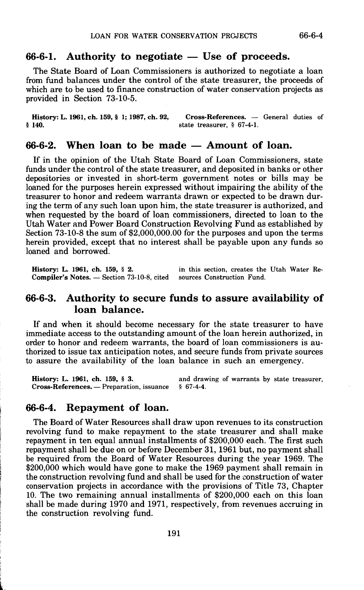### 66-6-1. Authority to negotiate — Use of proceeds.

The State Board of Loan Commissioners is authorized to negotiate a loan from fund balances under the control of the state treasurer, the proceeds of which are to be used to finance construction of water conservation projects as provided in Section 73-10-5.

**History: L. 1961, ch. 159, § 1; 1987, ch. 92, Cross-References. — General duties of § 140.** state treasurer, § 67-4-1. § **140.** state treasurer, § 67-4-1.

### 66-6-2. When loan to be made – Amount of loan.

If in the opinion of the Utah State Board of Loan Commissioners, state funds under the control of the state treasurer, and deposited in banks or other depositories or invested in short-term government notes or bills may be loaned for the purposes herein expressed without impairing the ability of the treasurer to honor and redeem warranta drawn or expected to be drawn during the term of any such loan upon him, the state treasurer is authorized, and when requested by the board of loan commissioners, directed to loan to the Utah Water and Power Board Construction Revolving Fund as established by Section 73-10-8 the sum of \$2,000,000.00 for the purposes and upon the terms herein provided, except that no interest shall be payable upon any funds so loaned and borrowed.

**History: L. 1961, ch. 159, § 2.** in this section, creates the Utah Water Re-<br>Compiler's Notes. -- Section 73-10-8, cited sources Construction Fund. **Compiler's Notes. -- Section 73-10-8, cited.** 

### **66-6-3. Authority to secure funds to assure availability of loan balance.**

If and when it should become necessary for the state treasurer to have immediate access to the outstanding amount of the loan herein authorized, in order to honor and redeem warrants, the board of loan commissioners is authorized to issue tax anticipation notes, and secure funds from private sources to assure the availability of the loan balance in such an emergency.

**History: L. 1961, ch. 159, § 3.** and drawing of warrants by state treasurer, Cross-References. — Preparation, issuance § 67-4-4. **Cross-References.** — Preparation, issuance

### **66-6-4. Repayment of loan.**

The Board of Water Resources shall draw upon revenues to its construction revolving fund to make repayment to the state treasurer and shall make repayment in ten equal annual installments of \$200,000 each. The first such repayment shall be due on or before December 31, 1961 but, no payment shall be required from the Board of Water Resources during the year 1969. The \$200,000 which would have gone to make the 1969 payment shall remain in the construction revolving fund and shall be used for the eonstruction of water conservation projects in accordance with the provisions of Title 73, Chapter 10. The two remaining annual installments of \$200,000 each on this loan shall be made during 1970 and 1971, respectively, from revenues accruing in the construction revolving fund.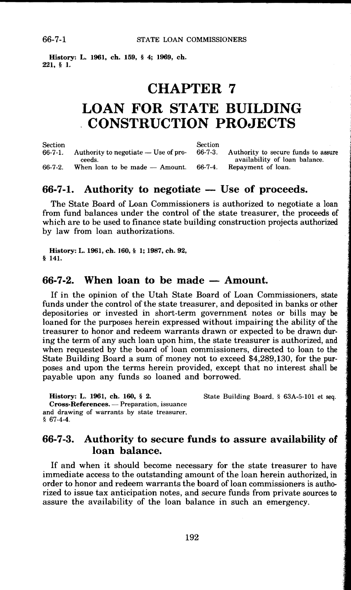**History: L. 1961, ch. 159,** § **4; 1969, ch. 221,** § **1.** 

### **CHAPTER 7**

## **LOAN FOR STATE BUILDING CONSTRUCTION PROJECTS**

Section<br>66-7-1 Authority to negotiate  $-$  Use of proceeds.  $66-7-2$ . When loan to be made - Amount. Section<br>66-7-3. Authority to secure funds to assure availability of loan balance. 66-7-4. Repayment of loan.

#### **66-7-1.** Authority to negotiate – Use of proceeds.

The State Board of Loan Commissioners is authorized to negotiate a loan from fund balances under the control of the state treasurer, the proceeds of which are to be used to finance state building construction projects authorized by law from loan authorizations.

**History: L. 1961, ch. 160,** § **l; 1987, ch. 92,**  § **141.** 

### **66-7-2.** When loan to be made – Amount.

If in the opinion of the Utah State Board of Loan Commissioners, state funds under the control of the state treasurer, and deposited in banks or other depositories or invested in short-term government notes or bills may be loaned for the purposes herein expressed without impairing the ability of the treasurer to honor and redeem warrants drawn or expected to be drawn during the term of any such loan upon him, the state treasurer is authorized, and when requested by the board of loan commissioners, directed to loan to the State Building Board a sum of money not to exceed \$4,289,130, for the purposes and upon the terms herein provided, except that no interest shall be payable upon any funds so loaned and borrowed.

**History: L. 1961, ch. 160,** § **2. Cross-References.** Preparation, issuance and drawing of warrants by state treasurer,  $$67-4-4.$ 

### **66-7-3. Authority to secure funds to assure availability of loan balance.**

If and when it should become necessary for the state treasurer to have immediate access to the outstanding amount of the loan herein authorized, in order to honor and redeem warrants the board of loan commissioners is authorized to issue tax anticipation notes, and secure funds from private sources to assure the availability of the loan balance in such an emergency.

State Building Board, § 63A-5-101 et seq.